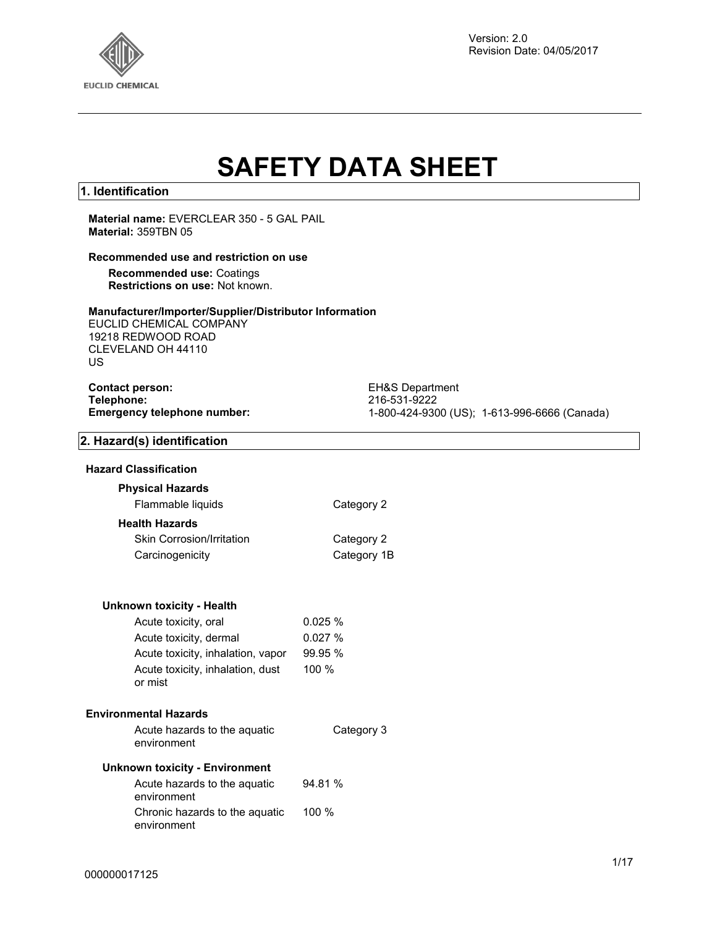

# **SAFETY DATA SHEET**

#### **1. Identification**

**Material name:** EVERCLEAR 350 - 5 GAL PAIL **Material:** 359TBN 05

#### **Recommended use and restriction on use**

**Recommended use:** Coatings **Restrictions on use:** Not known.

#### **Manufacturer/Importer/Supplier/Distributor Information**

EUCLID CHEMICAL COMPANY 19218 REDWOOD ROAD CLEVELAND OH 44110 US

| <b>Contact person:</b>             |
|------------------------------------|
| Telephone:                         |
| <b>Emergency telephone number:</b> |

**EH&S Department Telephone:** 216-531-9222 **Emergency telephone number:** 1-800-424-9300 (US); 1-613-996-6666 (Canada)

#### **2. Hazard(s) identification**

#### **Hazard Classification**

### **Physical Hazards**

Flammable liquids Category 2

#### **Health Hazards**

| <b>Skin Corrosion/Irritation</b> | Category 2  |
|----------------------------------|-------------|
| Carcinogenicity                  | Category 1B |

#### **Unknown toxicity - Health**

| Acute toxicity, oral                        | 0.025%  |
|---------------------------------------------|---------|
| Acute toxicity, dermal                      | 0.027%  |
| Acute toxicity, inhalation, vapor           | 99.95 % |
| Acute toxicity, inhalation, dust<br>or mist | 100%    |

#### **Environmental Hazards**

| Acute hazards to the aquatic | Category |
|------------------------------|----------|
| environment                  |          |

 $3$ 

#### **Unknown toxicity - Environment**

| Acute hazards to the aguatic<br>environment   | 94.81 %  |
|-----------------------------------------------|----------|
| Chronic hazards to the aquatic<br>environment | $100 \%$ |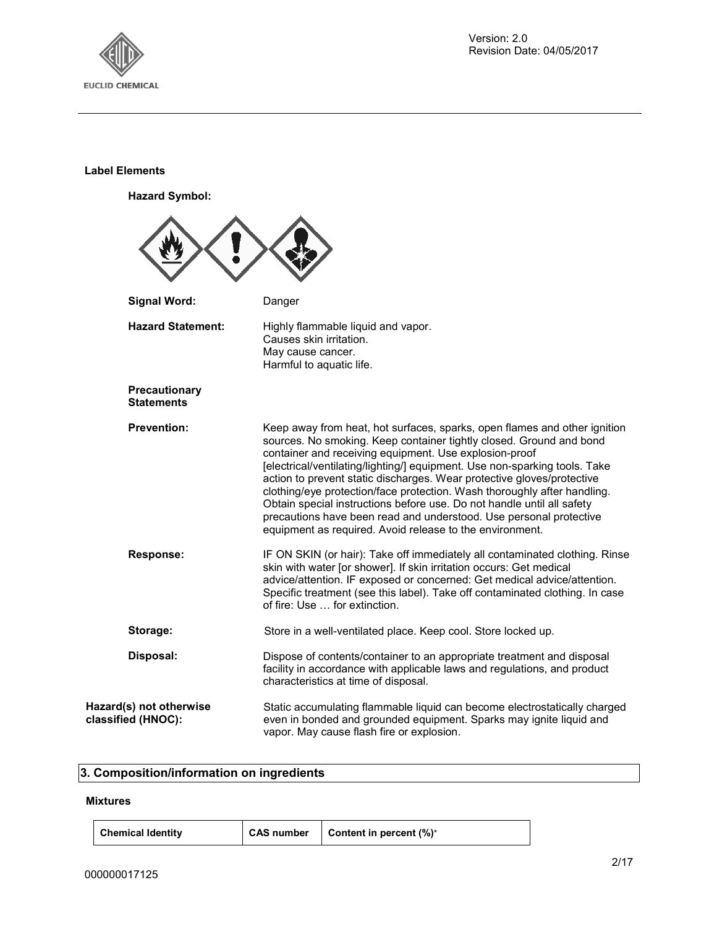

#### **Label Elements**

**Hazard Symbol:**



#### **3. Composition/information on ingredients**

#### **Mixtures**

| <b>Chemical Identity</b> |  |
|--------------------------|--|
|--------------------------|--|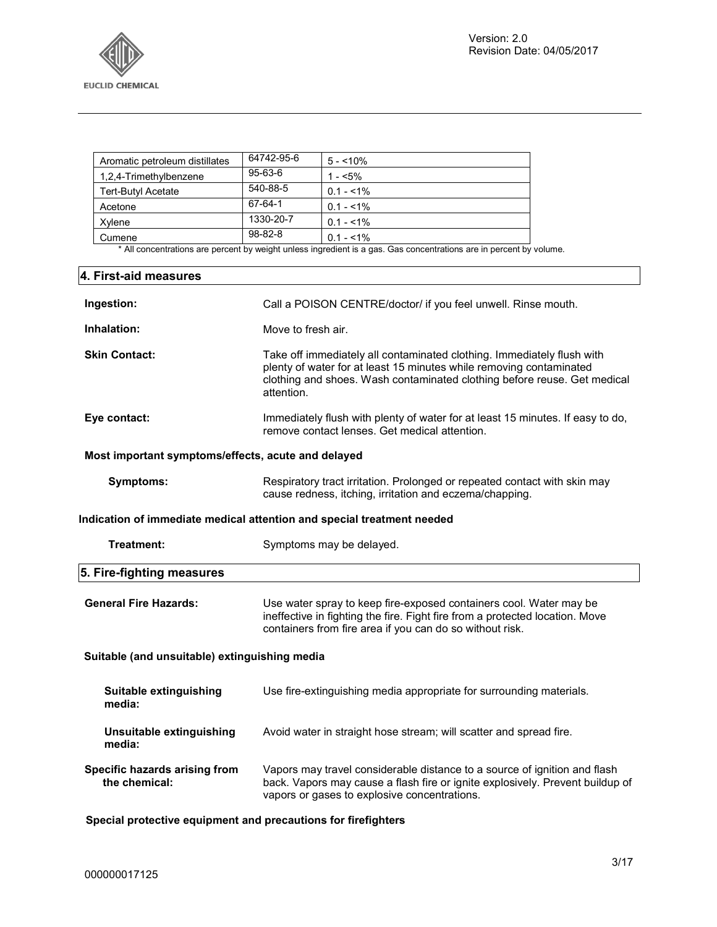

| Aromatic petroleum distillates | 64742-95-6    | $5 - 10\%$  |
|--------------------------------|---------------|-------------|
| 1,2,4-Trimethylbenzene         | $95 - 63 - 6$ | $1 - 5\%$   |
| Tert-Butyl Acetate             | 540-88-5      | $0.1 - 1\%$ |
| Acetone                        | 67-64-1       | $0.1 - 1\%$ |
| Xvlene                         | 1330-20-7     | $0.1 - 1\%$ |
| Cumene                         | $98 - 82 - 8$ | $0.1 - 1\%$ |

\* All concentrations are percent by weight unless ingredient is a gas. Gas concentrations are in percent by volume.

# **4. First-aid measures Ingestion:** Call a POISON CENTRE/doctor/ if you feel unwell. Rinse mouth. **Inhalation:** Move to fresh air. **Skin Contact:** Take off immediately all contaminated clothing. Immediately flush with plenty of water for at least 15 minutes while removing contaminated clothing and shoes. Wash contaminated clothing before reuse. Get medical attention. **Eye contact:** Immediately flush with plenty of water for at least 15 minutes. If easy to do, remove contact lenses. Get medical attention. **Most important symptoms/effects, acute and delayed Symptoms:** Respiratory tract irritation. Prolonged or repeated contact with skin may cause redness, itching, irritation and eczema/chapping. **Indication of immediate medical attention and special treatment needed Treatment:** Symptoms may be delayed. **5. Fire-fighting measures General Fire Hazards:** Use water spray to keep fire-exposed containers cool. Water may be ineffective in fighting the fire. Fight fire from a protected location. Move containers from fire area if you can do so without risk. **Suitable (and unsuitable) extinguishing media Suitable extinguishing media:** Use fire-extinguishing media appropriate for surrounding materials. **Unsuitable extinguishing media:**  Avoid water in straight hose stream; will scatter and spread fire. **Specific hazards arising from the chemical:** Vapors may travel considerable distance to a source of ignition and flash back. Vapors may cause a flash fire or ignite explosively. Prevent buildup of vapors or gases to explosive concentrations.

**Special protective equipment and precautions for firefighters**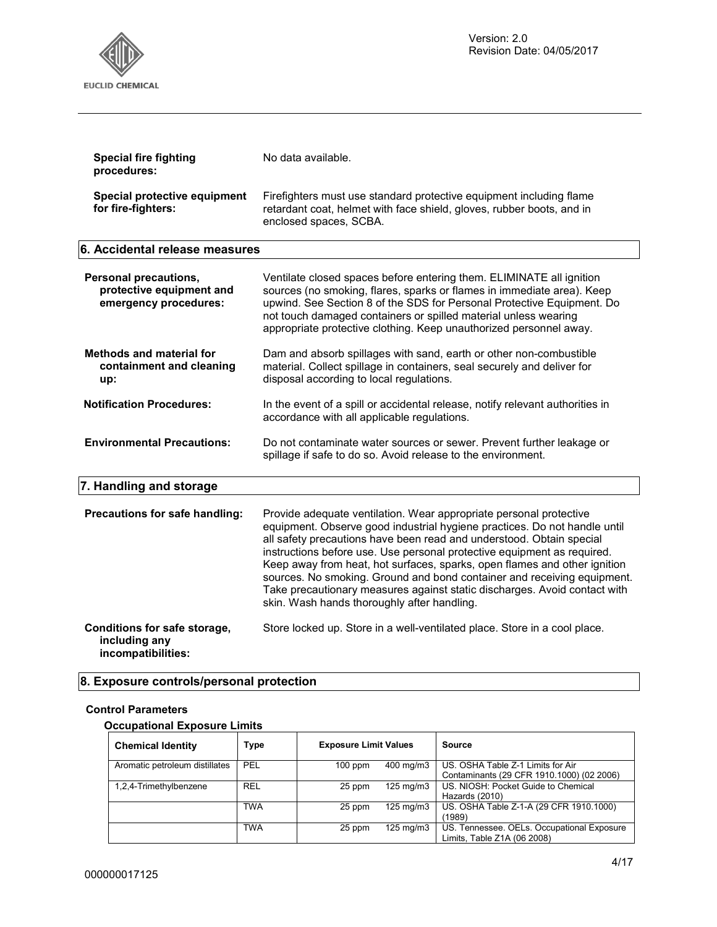

| <b>Special fire fighting</b><br>procedures:                                | No data available.                                                                                                                                                                                                                                                                                                                                                                                                                                                                                                                                                                     |  |
|----------------------------------------------------------------------------|----------------------------------------------------------------------------------------------------------------------------------------------------------------------------------------------------------------------------------------------------------------------------------------------------------------------------------------------------------------------------------------------------------------------------------------------------------------------------------------------------------------------------------------------------------------------------------------|--|
| Special protective equipment<br>for fire-fighters:                         | Firefighters must use standard protective equipment including flame<br>retardant coat, helmet with face shield, gloves, rubber boots, and in<br>enclosed spaces, SCBA.                                                                                                                                                                                                                                                                                                                                                                                                                 |  |
| 6. Accidental release measures                                             |                                                                                                                                                                                                                                                                                                                                                                                                                                                                                                                                                                                        |  |
| Personal precautions,<br>protective equipment and<br>emergency procedures: | Ventilate closed spaces before entering them. ELIMINATE all ignition<br>sources (no smoking, flares, sparks or flames in immediate area). Keep<br>upwind. See Section 8 of the SDS for Personal Protective Equipment. Do<br>not touch damaged containers or spilled material unless wearing<br>appropriate protective clothing. Keep unauthorized personnel away.                                                                                                                                                                                                                      |  |
| <b>Methods and material for</b><br>containment and cleaning<br>up:         | Dam and absorb spillages with sand, earth or other non-combustible<br>material. Collect spillage in containers, seal securely and deliver for<br>disposal according to local regulations.                                                                                                                                                                                                                                                                                                                                                                                              |  |
| <b>Notification Procedures:</b>                                            | In the event of a spill or accidental release, notify relevant authorities in<br>accordance with all applicable regulations.                                                                                                                                                                                                                                                                                                                                                                                                                                                           |  |
| <b>Environmental Precautions:</b>                                          | Do not contaminate water sources or sewer. Prevent further leakage or<br>spillage if safe to do so. Avoid release to the environment.                                                                                                                                                                                                                                                                                                                                                                                                                                                  |  |
| 7. Handling and storage                                                    |                                                                                                                                                                                                                                                                                                                                                                                                                                                                                                                                                                                        |  |
| Precautions for safe handling:                                             | Provide adequate ventilation. Wear appropriate personal protective<br>equipment. Observe good industrial hygiene practices. Do not handle until<br>all safety precautions have been read and understood. Obtain special<br>instructions before use. Use personal protective equipment as required.<br>Keep away from heat, hot surfaces, sparks, open flames and other ignition<br>sources. No smoking. Ground and bond container and receiving equipment.<br>Take precautionary measures against static discharges. Avoid contact with<br>skin. Wash hands thoroughly after handling. |  |
| Conditions for safe storage,<br>including any<br>incompatibilities:        | Store locked up. Store in a well-ventilated place. Store in a cool place.                                                                                                                                                                                                                                                                                                                                                                                                                                                                                                              |  |

# **8. Exposure controls/personal protection**

#### **Control Parameters**

#### **Occupational Exposure Limits**

| <b>Chemical Identity</b>       | <b>Type</b> | <b>Exposure Limit Values</b> |                    | Source                                                                         |
|--------------------------------|-------------|------------------------------|--------------------|--------------------------------------------------------------------------------|
| Aromatic petroleum distillates | PEL         | $100$ ppm                    | 400 mg/m3          | US. OSHA Table Z-1 Limits for Air<br>Contaminants (29 CFR 1910.1000) (02 2006) |
| 1,2,4-Trimethylbenzene         | <b>REL</b>  | 25 ppm                       | $125 \text{ mg/m}$ | US. NIOSH: Pocket Guide to Chemical<br>Hazards (2010)                          |
|                                | <b>TWA</b>  | 25 ppm                       | $125 \text{ mg/m}$ | US. OSHA Table Z-1-A (29 CFR 1910.1000)<br>(1989)                              |
|                                | <b>TWA</b>  | 25 ppm                       | $125 \text{ mg/m}$ | US. Tennessee. OELs. Occupational Exposure<br>Limits, Table Z1A (06 2008)      |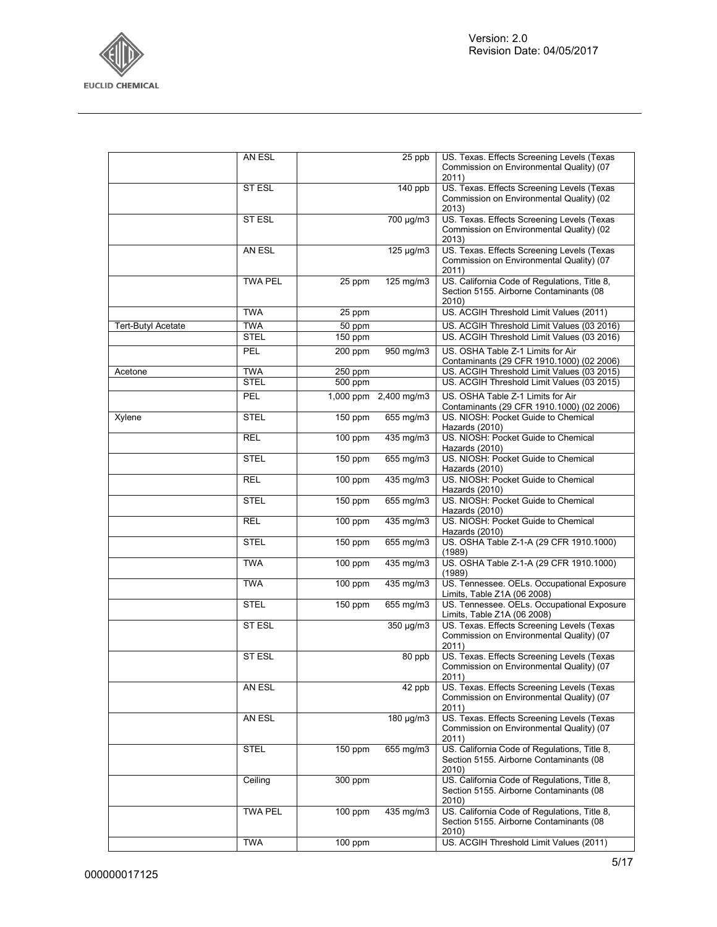

|                    | AN ESL                    |                    | 25 ppb                | US. Texas. Effects Screening Levels (Texas<br>Commission on Environmental Quality) (07<br>2011)  |
|--------------------|---------------------------|--------------------|-----------------------|--------------------------------------------------------------------------------------------------|
|                    | ST ESL                    |                    | 140 ppb               | US. Texas. Effects Screening Levels (Texas<br>Commission on Environmental Quality) (02<br>2013)  |
|                    | ST ESL                    |                    | 700 µg/m3             | US. Texas. Effects Screening Levels (Texas<br>Commission on Environmental Quality) (02<br>2013)  |
|                    | AN ESL                    |                    | $125 \mu g/m3$        | US. Texas. Effects Screening Levels (Texas<br>Commission on Environmental Quality) (07<br>2011)  |
|                    | <b>TWA PEL</b>            | 25 ppm             | 125 mg/m3             | US. California Code of Regulations, Title 8,<br>Section 5155. Airborne Contaminants (08<br>2010) |
|                    | <b>TWA</b>                | 25 ppm             |                       | US. ACGIH Threshold Limit Values (2011)                                                          |
| Tert-Butyl Acetate | <b>TWA</b>                | 50 ppm             |                       | US. ACGIH Threshold Limit Values (03 2016)                                                       |
|                    | <b>STEL</b>               | 150 ppm            |                       | US. ACGIH Threshold Limit Values (03 2016)                                                       |
|                    | PEL                       | 200 ppm            | 950 mg/m3             | US. OSHA Table Z-1 Limits for Air<br>Contaminants (29 CFR 1910.1000) (02 2006)                   |
| Acetone            | <b>TWA</b><br><b>STEL</b> | 250 ppm<br>500 ppm |                       | US. ACGIH Threshold Limit Values (03 2015)<br>US. ACGIH Threshold Limit Values (03 2015)         |
|                    | PEL                       |                    | 1,000 ppm 2,400 mg/m3 | US. OSHA Table Z-1 Limits for Air                                                                |
|                    | <b>STEL</b>               | 150 ppm            | 655 mg/m3             | Contaminants (29 CFR 1910.1000) (02 2006)<br>US. NIOSH: Pocket Guide to Chemical                 |
| Xylene             |                           |                    |                       | Hazards (2010)<br>US. NIOSH: Pocket Guide to Chemical                                            |
|                    | <b>REL</b>                | 100 ppm            | 435 mg/m3             | Hazards (2010)                                                                                   |
|                    | <b>STEL</b>               | 150 ppm            | 655 mg/m3             | US. NIOSH: Pocket Guide to Chemical<br>Hazards (2010)                                            |
|                    | <b>REL</b>                | 100 ppm            | 435 mg/m3             | US. NIOSH: Pocket Guide to Chemical<br>Hazards (2010)                                            |
|                    | <b>STEL</b>               | 150 ppm            | 655 mg/m3             | US. NIOSH: Pocket Guide to Chemical<br>Hazards (2010)                                            |
|                    | <b>REL</b>                | $100$ ppm          | 435 mg/m3             | US. NIOSH: Pocket Guide to Chemical<br>Hazards (2010)                                            |
|                    | <b>STEL</b>               | 150 ppm            | 655 mg/m3             | US. OSHA Table Z-1-A (29 CFR 1910.1000)<br>(1989)                                                |
|                    | <b>TWA</b>                | 100 ppm            | 435 mg/m3             | US. OSHA Table Z-1-A (29 CFR 1910.1000)<br>(1989)                                                |
|                    | <b>TWA</b>                | 100 ppm            | 435 mg/m3             | US. Tennessee. OELs. Occupational Exposure<br>Limits, Table Z1A (06 2008)                        |
|                    | <b>STEL</b>               | $150$ ppm          | 655 mg/m3             | US. Tennessee. OELs. Occupational Exposure<br>Limits, Table Z1A (06 2008)                        |
|                    | <b>STESL</b>              |                    | 350 µg/m3             | US. Texas. Effects Screening Levels (Texas<br>Commission on Environmental Quality) (07<br>2011)  |
|                    | ST ESL                    |                    | 80 ppb                | US. Texas. Effects Screening Levels (Texas<br>Commission on Environmental Quality) (07<br>2011   |
|                    | AN ESL                    |                    | 42 ppb                | US. Texas. Effects Screening Levels (Texas<br>Commission on Environmental Quality) (07<br>2011)  |
|                    | AN ESL                    |                    | 180 µg/m3             | US. Texas. Effects Screening Levels (Texas<br>Commission on Environmental Quality) (07<br>2011)  |
|                    | STEL                      | 150 ppm            | 655 mg/m3             | US. California Code of Regulations, Title 8,<br>Section 5155. Airborne Contaminants (08<br>2010) |
|                    | Ceiling                   | 300 ppm            |                       | US. California Code of Regulations, Title 8,<br>Section 5155. Airborne Contaminants (08<br>2010) |
|                    | <b>TWA PEL</b>            | 100 ppm            | 435 mg/m3             | US. California Code of Regulations, Title 8,<br>Section 5155. Airborne Contaminants (08<br>2010) |
|                    | <b>TWA</b>                | 100 ppm            |                       | US. ACGIH Threshold Limit Values (2011)                                                          |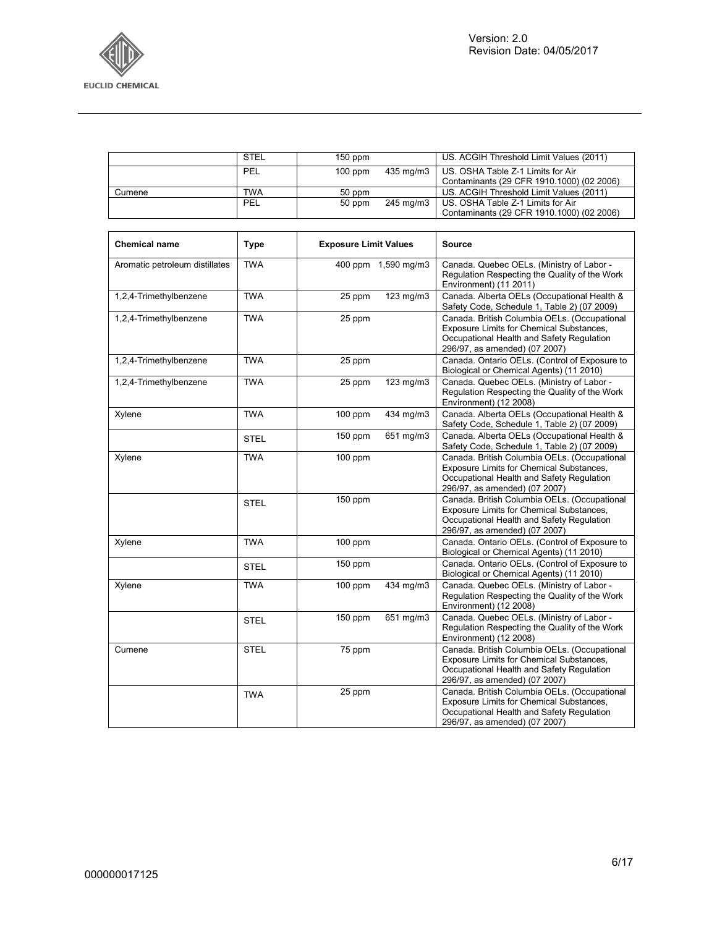

|                                | <b>STEL</b> | 150 ppm                      |                     | US. ACGIH Threshold Limit Values (2011)                                                                                                                                |
|--------------------------------|-------------|------------------------------|---------------------|------------------------------------------------------------------------------------------------------------------------------------------------------------------------|
|                                | PEL         | $100$ ppm                    | 435 mg/m3           | US. OSHA Table Z-1 Limits for Air<br>Contaminants (29 CFR 1910.1000) (02 2006)                                                                                         |
| Cumene                         | <b>TWA</b>  | $\overline{50}$ ppm          |                     | US. ACGIH Threshold Limit Values (2011)                                                                                                                                |
|                                | PEL         | 50 ppm                       | 245 mg/m3           | US. OSHA Table Z-1 Limits for Air<br>Contaminants (29 CFR 1910.1000) (02 2006)                                                                                         |
|                                |             |                              |                     |                                                                                                                                                                        |
| <b>Chemical name</b>           | <b>Type</b> | <b>Exposure Limit Values</b> |                     | <b>Source</b>                                                                                                                                                          |
| Aromatic petroleum distillates | <b>TWA</b>  |                              | 400 ppm 1,590 mg/m3 | Canada. Quebec OELs. (Ministry of Labor -<br>Regulation Respecting the Quality of the Work<br>Environment) (11 2011)                                                   |
| 1,2,4-Trimethylbenzene         | <b>TWA</b>  | 25 ppm                       | 123 mg/m3           | Canada. Alberta OELs (Occupational Health &<br>Safety Code, Schedule 1, Table 2) (07 2009)                                                                             |
| 1,2,4-Trimethylbenzene         | <b>TWA</b>  | 25 ppm                       |                     | Canada. British Columbia OELs. (Occupational<br>Exposure Limits for Chemical Substances,<br>Occupational Health and Safety Regulation<br>296/97, as amended) (07 2007) |
| 1,2,4-Trimethylbenzene         | <b>TWA</b>  | 25 ppm                       |                     | Canada. Ontario OELs. (Control of Exposure to<br>Biological or Chemical Agents) (11 2010)                                                                              |
| 1,2,4-Trimethylbenzene         | <b>TWA</b>  | 25 ppm                       | 123 mg/m3           | Canada. Quebec OELs. (Ministry of Labor -<br>Regulation Respecting the Quality of the Work<br>Environment) (12 2008)                                                   |
| Xylene                         | <b>TWA</b>  | 100 ppm                      | 434 mg/m3           | Canada. Alberta OELs (Occupational Health &<br>Safety Code, Schedule 1, Table 2) (07 2009)                                                                             |
|                                | <b>STEL</b> | 150 ppm                      | 651 mg/m3           | Canada. Alberta OELs (Occupational Health &<br>Safety Code, Schedule 1, Table 2) (07 2009)                                                                             |
| Xylene                         | <b>TWA</b>  | 100 ppm                      |                     | Canada. British Columbia OELs. (Occupational<br>Exposure Limits for Chemical Substances,<br>Occupational Health and Safety Regulation<br>296/97, as amended) (07 2007) |
|                                | <b>STEL</b> | 150 ppm                      |                     | Canada. British Columbia OELs. (Occupational<br>Exposure Limits for Chemical Substances,<br>Occupational Health and Safety Regulation<br>296/97, as amended) (07 2007) |
| Xylene                         | <b>TWA</b>  | $100$ ppm                    |                     | Canada. Ontario OELs. (Control of Exposure to<br>Biological or Chemical Agents) (11 2010)                                                                              |
|                                | <b>STEL</b> | 150 ppm                      |                     | Canada. Ontario OELs. (Control of Exposure to<br>Biological or Chemical Agents) (11 2010)                                                                              |
| Xylene                         | <b>TWA</b>  | 100 ppm                      | 434 mg/m3           | Canada. Quebec OELs. (Ministry of Labor -<br>Regulation Respecting the Quality of the Work<br>Environment) (12 2008)                                                   |
|                                | <b>STEL</b> | 150 ppm                      | 651 mg/m3           | Canada. Quebec OELs. (Ministry of Labor -<br>Regulation Respecting the Quality of the Work<br>Environment) (12 2008)                                                   |
| Cumene                         | <b>STEL</b> | 75 ppm                       |                     | Canada. British Columbia OELs. (Occupational<br>Exposure Limits for Chemical Substances,<br>Occupational Health and Safety Regulation<br>296/97, as amended) (07 2007) |
|                                | <b>TWA</b>  | 25 ppm                       |                     | Canada. British Columbia OELs. (Occupational<br>Exposure Limits for Chemical Substances,<br>Occupational Health and Safety Regulation<br>296/97, as amended) (07 2007) |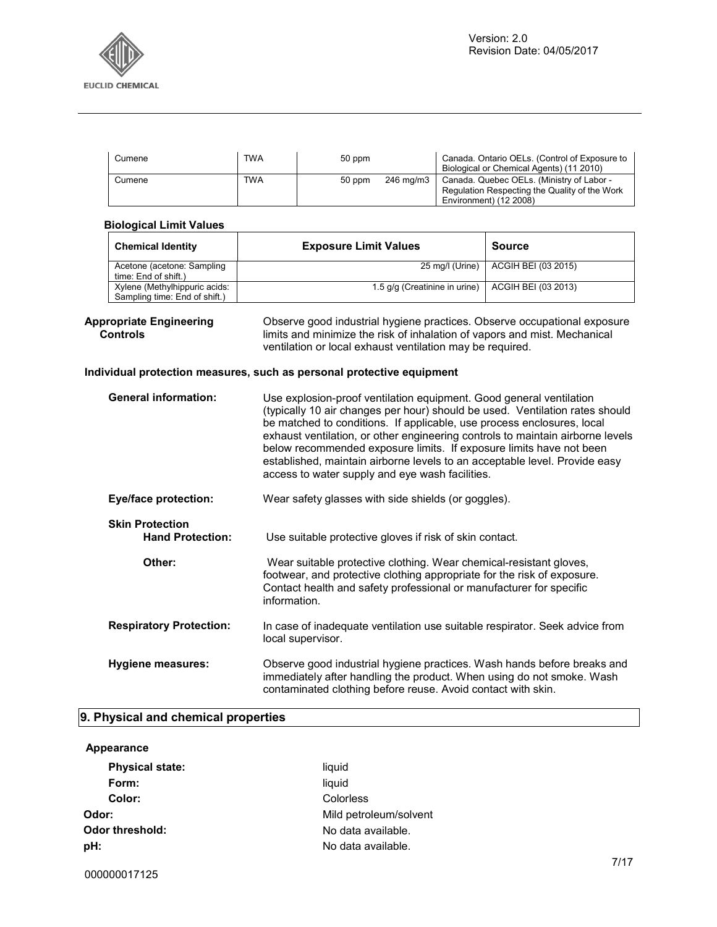

| Cumene | <b>TWA</b> | 50 ppm   |           | Canada. Ontario OELs. (Control of Exposure to<br>Biological or Chemical Agents) (11 2010)                            |
|--------|------------|----------|-----------|----------------------------------------------------------------------------------------------------------------------|
| Cumene | <b>TWA</b> | $50$ ppm | 246 ma/m3 | Canada. Quebec OELs. (Ministry of Labor -<br>Regulation Respecting the Quality of the Work<br>Environment) (12 2008) |

|                                                   | <b>Biological Limit Values</b>                                 |                                                                                                                                                                                                                                                                                                                                                                                                                                                                                                                         |                                                                                                                                                                                                                    |  |  |
|---------------------------------------------------|----------------------------------------------------------------|-------------------------------------------------------------------------------------------------------------------------------------------------------------------------------------------------------------------------------------------------------------------------------------------------------------------------------------------------------------------------------------------------------------------------------------------------------------------------------------------------------------------------|--------------------------------------------------------------------------------------------------------------------------------------------------------------------------------------------------------------------|--|--|
|                                                   | <b>Chemical Identity</b>                                       | <b>Exposure Limit Values</b>                                                                                                                                                                                                                                                                                                                                                                                                                                                                                            | <b>Source</b>                                                                                                                                                                                                      |  |  |
|                                                   | Acetone (acetone: Sampling<br>time: End of shift.)             | 25 mg/l (Urine)                                                                                                                                                                                                                                                                                                                                                                                                                                                                                                         | ACGIH BEI (03 2015)                                                                                                                                                                                                |  |  |
|                                                   | Xylene (Methylhippuric acids:<br>Sampling time: End of shift.) | 1.5 g/g (Creatinine in urine)                                                                                                                                                                                                                                                                                                                                                                                                                                                                                           | <b>ACGIH BEI (03 2013)</b>                                                                                                                                                                                         |  |  |
| <b>Appropriate Engineering</b><br><b>Controls</b> |                                                                | Individual protection measures, such as personal protective equipment                                                                                                                                                                                                                                                                                                                                                                                                                                                   | Observe good industrial hygiene practices. Observe occupational exposure<br>limits and minimize the risk of inhalation of vapors and mist. Mechanical<br>ventilation or local exhaust ventilation may be required. |  |  |
| <b>General information:</b>                       |                                                                | Use explosion-proof ventilation equipment. Good general ventilation<br>(typically 10 air changes per hour) should be used. Ventilation rates should<br>be matched to conditions. If applicable, use process enclosures, local<br>exhaust ventilation, or other engineering controls to maintain airborne levels<br>below recommended exposure limits. If exposure limits have not been<br>established, maintain airborne levels to an acceptable level. Provide easy<br>access to water supply and eye wash facilities. |                                                                                                                                                                                                                    |  |  |
|                                                   | <b>Eye/face protection:</b>                                    | Wear safety glasses with side shields (or goggles).                                                                                                                                                                                                                                                                                                                                                                                                                                                                     |                                                                                                                                                                                                                    |  |  |
| <b>Skin Protection</b><br><b>Hand Protection:</b> |                                                                | Use suitable protective gloves if risk of skin contact.                                                                                                                                                                                                                                                                                                                                                                                                                                                                 |                                                                                                                                                                                                                    |  |  |
|                                                   | Other:                                                         | Wear suitable protective clothing. Wear chemical-resistant gloves,<br>footwear, and protective clothing appropriate for the risk of exposure.<br>Contact health and safety professional or manufacturer for specific<br>information.                                                                                                                                                                                                                                                                                    |                                                                                                                                                                                                                    |  |  |
|                                                   | <b>Respiratory Protection:</b>                                 | In case of inadequate ventilation use suitable respirator. Seek advice from<br>local supervisor.                                                                                                                                                                                                                                                                                                                                                                                                                        |                                                                                                                                                                                                                    |  |  |
|                                                   | <b>Hygiene measures:</b>                                       | Observe good industrial hygiene practices. Wash hands before breaks and<br>immediately after handling the product. When using do not smoke. Wash<br>contaminated clothing before reuse. Avoid contact with skin.                                                                                                                                                                                                                                                                                                        |                                                                                                                                                                                                                    |  |  |

# **9. Physical and chemical properties**

#### **Appearance**

| <b>Physical state:</b> | liquid                 |
|------------------------|------------------------|
| Form:                  | liquid                 |
| Color:                 | Colorless              |
| Odor:                  | Mild petroleum/solvent |
| Odor threshold:        | No data available.     |
| pH:                    | No data available.     |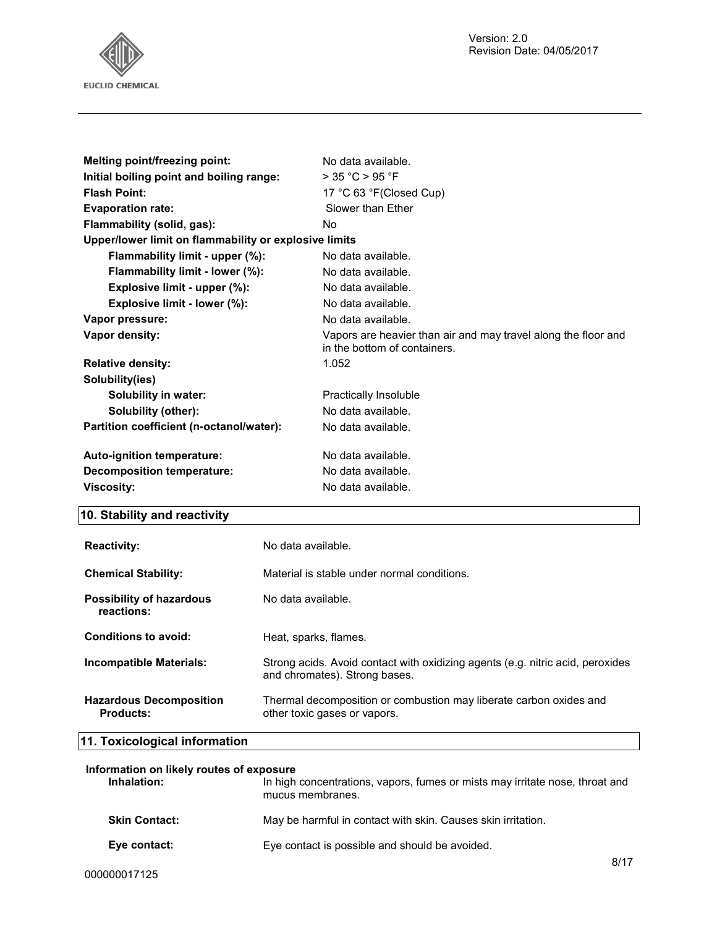

| Melting point/freezing point:                         | No data available.                                                                             |
|-------------------------------------------------------|------------------------------------------------------------------------------------------------|
| Initial boiling point and boiling range:              | $>$ 35 °C $>$ 95 °F                                                                            |
| <b>Flash Point:</b>                                   | 17 °C 63 °F(Closed Cup)                                                                        |
| <b>Evaporation rate:</b>                              | Slower than Ether                                                                              |
| Flammability (solid, gas):                            | No.                                                                                            |
| Upper/lower limit on flammability or explosive limits |                                                                                                |
| Flammability limit - upper (%):                       | No data available.                                                                             |
| Flammability limit - lower (%):                       | No data available.                                                                             |
| Explosive limit - upper (%):                          | No data available.                                                                             |
| Explosive limit - lower (%):                          | No data available.                                                                             |
| Vapor pressure:                                       | No data available.                                                                             |
| Vapor density:                                        | Vapors are heavier than air and may travel along the floor and<br>in the bottom of containers. |
| <b>Relative density:</b>                              | 1.052                                                                                          |
| Solubility(ies)                                       |                                                                                                |
| Solubility in water:                                  | Practically Insoluble                                                                          |
| Solubility (other):                                   | No data available.                                                                             |
| Partition coefficient (n-octanol/water):              | No data available.                                                                             |
| Auto-ignition temperature:                            | No data available.                                                                             |
| Decomposition temperature:                            | No data available.                                                                             |
| <b>Viscosity:</b>                                     | No data available.                                                                             |

# **10. Stability and reactivity**

| <b>Reactivity:</b>                                 | No data available.                                                                                              |
|----------------------------------------------------|-----------------------------------------------------------------------------------------------------------------|
| <b>Chemical Stability:</b>                         | Material is stable under normal conditions.                                                                     |
| <b>Possibility of hazardous</b><br>reactions:      | No data available.                                                                                              |
| Conditions to avoid:                               | Heat, sparks, flames.                                                                                           |
| <b>Incompatible Materials:</b>                     | Strong acids. Avoid contact with oxidizing agents (e.g. nitric acid, peroxides<br>and chromates). Strong bases. |
| <b>Hazardous Decomposition</b><br><b>Products:</b> | Thermal decomposition or combustion may liberate carbon oxides and<br>other toxic gases or vapors.              |
|                                                    |                                                                                                                 |

# **11. Toxicological information**

| Information on likely routes of exposure |                                                                                                  |
|------------------------------------------|--------------------------------------------------------------------------------------------------|
| Inhalation:                              | In high concentrations, vapors, fumes or mists may irritate nose, throat and<br>mucus membranes. |
| <b>Skin Contact:</b>                     | May be harmful in contact with skin. Causes skin irritation.                                     |
| Eye contact:                             | Eye contact is possible and should be avoided.                                                   |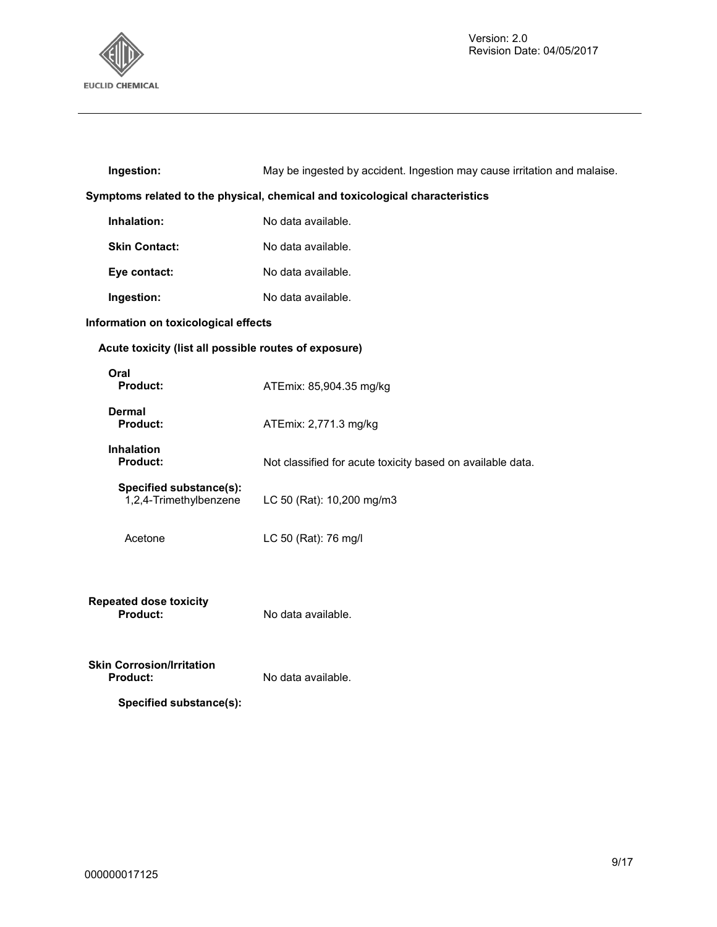

| Ingestion:                                                                   | May be ingested by accident. Ingestion may cause irritation and malaise. |  |
|------------------------------------------------------------------------------|--------------------------------------------------------------------------|--|
| Symptoms related to the physical, chemical and toxicological characteristics |                                                                          |  |
| Inhalation:                                                                  | No data available.                                                       |  |
| <b>Skin Contact:</b>                                                         | No data available.                                                       |  |
| Eye contact:                                                                 | No data available.                                                       |  |
| Ingestion:                                                                   | No data available.                                                       |  |
| Information on toxicological effects                                         |                                                                          |  |
| Acute toxicity (list all possible routes of exposure)                        |                                                                          |  |
| Oral<br>Product:                                                             | ATEmix: 85,904.35 mg/kg                                                  |  |
| Dermal<br>Product:                                                           | ATEmix: 2,771.3 mg/kg                                                    |  |
| <b>Inhalation</b><br><b>Product:</b>                                         | Not classified for acute toxicity based on available data.               |  |
| Specified substance(s):<br>1,2,4-Trimethylbenzene                            | LC 50 (Rat): 10,200 mg/m3                                                |  |
| Acetone                                                                      | LC 50 (Rat): 76 mg/l                                                     |  |
| <b>Repeated dose toxicity</b><br><b>Product:</b>                             | No data available.                                                       |  |
| <b>Skin Corrosion/Irritation</b><br>Product:                                 | No data available.                                                       |  |
| Specified substance(s):                                                      |                                                                          |  |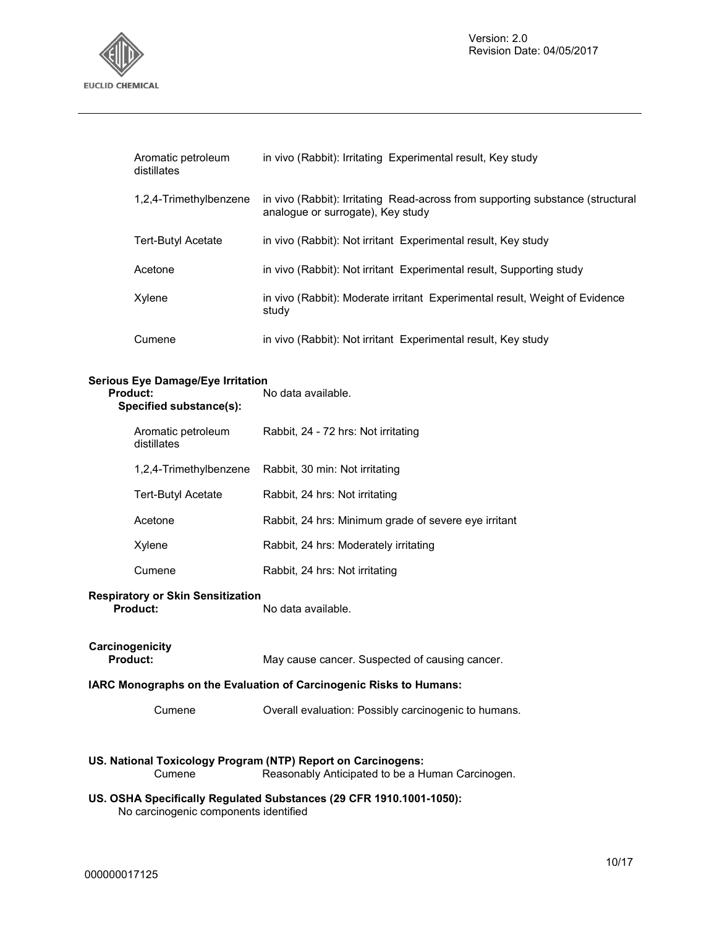

| Aromatic petroleum<br>distillates | in vivo (Rabbit): Irritating Experimental result, Key study                                                         |
|-----------------------------------|---------------------------------------------------------------------------------------------------------------------|
| 1,2,4-Trimethylbenzene            | in vivo (Rabbit): Irritating Read-across from supporting substance (structural<br>analogue or surrogate). Key study |
| Tert-Butyl Acetate                | in vivo (Rabbit): Not irritant Experimental result, Key study                                                       |
| Acetone                           | in vivo (Rabbit): Not irritant Experimental result, Supporting study                                                |
| Xylene                            | in vivo (Rabbit): Moderate irritant Experimental result, Weight of Evidence<br>study                                |
| Cumene                            | in vivo (Rabbit): Not irritant Experimental result, Key study                                                       |

#### **Serious Eye Damage/Eye Irritation**

| Product:<br>Specified substance(s): |                                   | No data available.                                   |
|-------------------------------------|-----------------------------------|------------------------------------------------------|
|                                     | Aromatic petroleum<br>distillates | Rabbit, 24 - 72 hrs: Not irritating                  |
|                                     | 1,2,4-Trimethylbenzene            | Rabbit, 30 min: Not irritating                       |
|                                     | Tert-Butyl Acetate                | Rabbit, 24 hrs: Not irritating                       |
|                                     | Acetone                           | Rabbit, 24 hrs: Minimum grade of severe eye irritant |
|                                     | Xylene                            | Rabbit, 24 hrs: Moderately irritating                |
|                                     | Cumene                            | Rabbit, 24 hrs: Not irritating                       |
|                                     |                                   |                                                      |

#### **Respiratory or Skin Sensitization**

| <b>Product:</b> | No data available. |
|-----------------|--------------------|
|                 |                    |

| Carcinogenicity |                                                |
|-----------------|------------------------------------------------|
| <b>Product:</b> | May cause cancer. Suspected of causing cancer. |

#### **IARC Monographs on the Evaluation of Carcinogenic Risks to Humans:**

Cumene Overall evaluation: Possibly carcinogenic to humans.

# **US. National Toxicology Program (NTP) Report on Carcinogens:**

Reasonably Anticipated to be a Human Carcinogen.

#### **US. OSHA Specifically Regulated Substances (29 CFR 1910.1001-1050):**  No carcinogenic components identified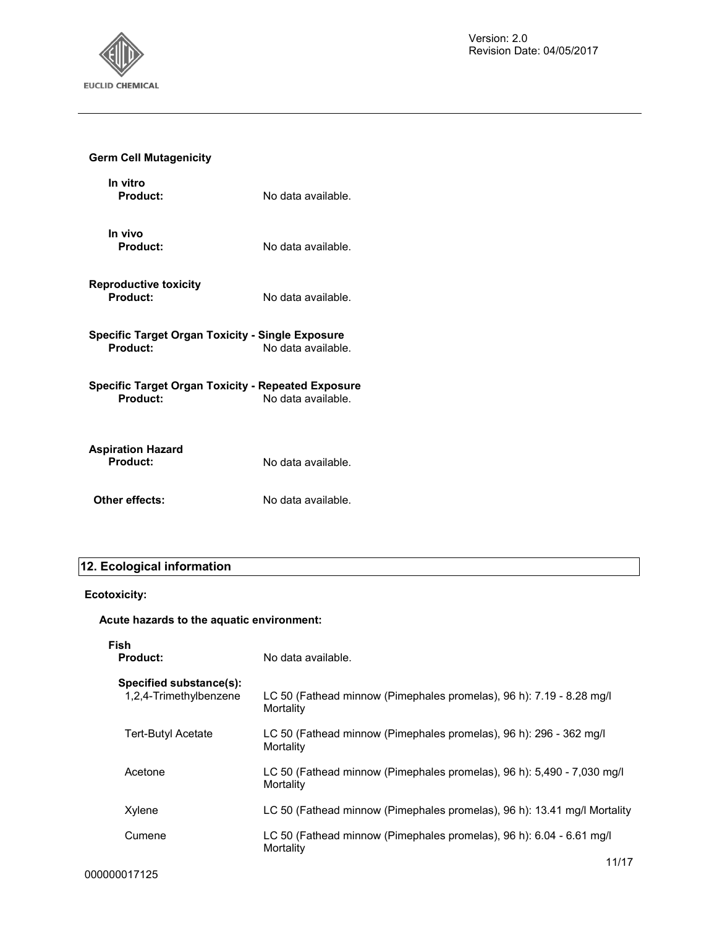

# **Germ Cell Mutagenicity**

| In vitro<br>Product:                                                  | No data available. |
|-----------------------------------------------------------------------|--------------------|
| In vivo<br>Product:                                                   | No data available. |
| <b>Reproductive toxicity</b><br>Product:                              | No data available. |
| Specific Target Organ Toxicity - Single Exposure<br>Product:          | No data available. |
| Specific Target Organ Toxicity - Repeated Exposure<br><b>Product:</b> | No data available. |
| Aspiration Hazard<br>Product:                                         | No data available. |
| Other effects:                                                        | No data available. |

# **12. Ecological information**

# **Ecotoxicity:**

# **Acute hazards to the aquatic environment:**

| Fish<br><b>Product:</b>                           | No data available.                                                                  |
|---------------------------------------------------|-------------------------------------------------------------------------------------|
| Specified substance(s):<br>1,2,4-Trimethylbenzene | LC 50 (Fathead minnow (Pimephales promelas), 96 h): 7.19 - 8.28 mg/l<br>Mortality   |
| <b>Tert-Butyl Acetate</b>                         | LC 50 (Fathead minnow (Pimephales promelas), 96 h): 296 - 362 mg/l<br>Mortality     |
| Acetone                                           | LC 50 (Fathead minnow (Pimephales promelas), 96 h): 5,490 - 7,030 mg/l<br>Mortality |
| Xylene                                            | LC 50 (Fathead minnow (Pimephales promelas), 96 h): 13.41 mg/l Mortality            |
| Cumene                                            | LC 50 (Fathead minnow (Pimephales promelas), 96 h): 6.04 - 6.61 mg/l<br>Mortality   |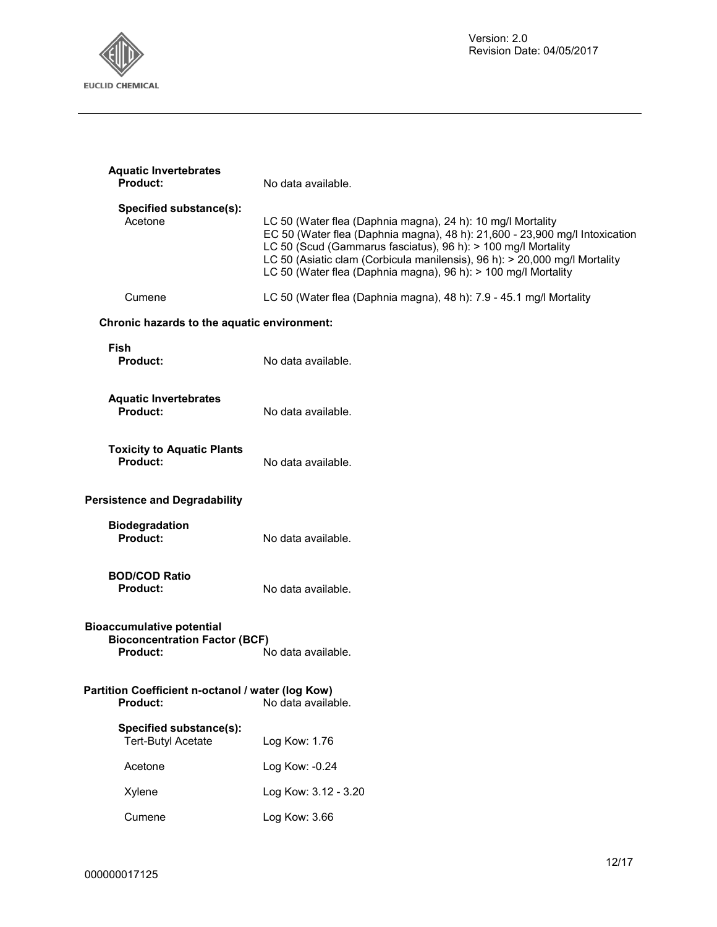

| <b>Aquatic Invertebrates</b><br><b>Product:</b>                                             | No data available.                                                                                                                                                                                                                                                                                                                                          |
|---------------------------------------------------------------------------------------------|-------------------------------------------------------------------------------------------------------------------------------------------------------------------------------------------------------------------------------------------------------------------------------------------------------------------------------------------------------------|
| Specified substance(s):<br>Acetone                                                          | LC 50 (Water flea (Daphnia magna), 24 h): 10 mg/l Mortality<br>EC 50 (Water flea (Daphnia magna), 48 h): 21,600 - 23,900 mg/l Intoxication<br>LC 50 (Scud (Gammarus fasciatus), 96 h): > 100 mg/l Mortality<br>LC 50 (Asiatic clam (Corbicula manilensis), 96 h): > 20,000 mg/l Mortality<br>LC 50 (Water flea (Daphnia magna), 96 h): > 100 mg/l Mortality |
| Cumene                                                                                      | LC 50 (Water flea (Daphnia magna), 48 h): 7.9 - 45.1 mg/l Mortality                                                                                                                                                                                                                                                                                         |
| Chronic hazards to the aquatic environment:                                                 |                                                                                                                                                                                                                                                                                                                                                             |
| Fish<br>Product:                                                                            | No data available.                                                                                                                                                                                                                                                                                                                                          |
| <b>Aquatic Invertebrates</b><br>Product:                                                    | No data available.                                                                                                                                                                                                                                                                                                                                          |
| <b>Toxicity to Aquatic Plants</b><br><b>Product:</b>                                        | No data available.                                                                                                                                                                                                                                                                                                                                          |
| <b>Persistence and Degradability</b>                                                        |                                                                                                                                                                                                                                                                                                                                                             |
| <b>Biodegradation</b><br>Product:                                                           | No data available.                                                                                                                                                                                                                                                                                                                                          |
| <b>BOD/COD Ratio</b><br><b>Product:</b>                                                     | No data available.                                                                                                                                                                                                                                                                                                                                          |
| <b>Bioaccumulative potential</b><br><b>Bioconcentration Factor (BCF)</b><br><b>Product:</b> | No data available.                                                                                                                                                                                                                                                                                                                                          |
| Partition Coefficient n-octanol / water (log Kow)<br><b>Product:</b>                        | No data available.                                                                                                                                                                                                                                                                                                                                          |
| Specified substance(s):<br><b>Tert-Butyl Acetate</b>                                        | Log Kow: 1.76                                                                                                                                                                                                                                                                                                                                               |
| Acetone                                                                                     | Log Kow: -0.24                                                                                                                                                                                                                                                                                                                                              |
| Xylene                                                                                      | Log Kow: 3.12 - 3.20                                                                                                                                                                                                                                                                                                                                        |
| Cumene                                                                                      | Log Kow: 3.66                                                                                                                                                                                                                                                                                                                                               |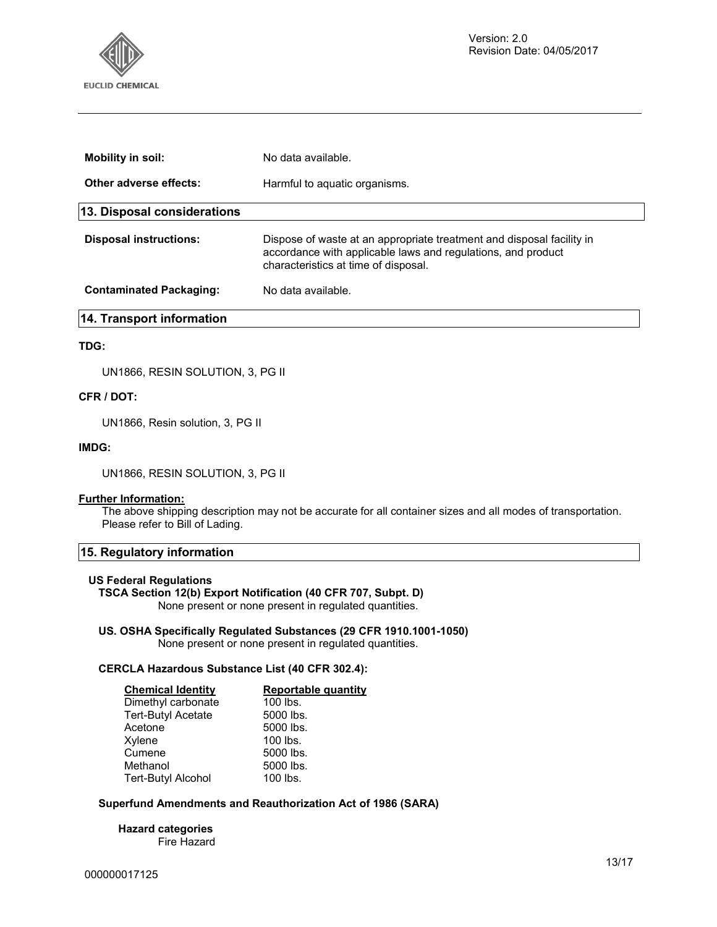

| <b>Mobility in soil:</b>       | No data available.                                                                                                                                                            |
|--------------------------------|-------------------------------------------------------------------------------------------------------------------------------------------------------------------------------|
| Other adverse effects:         | Harmful to aquatic organisms.                                                                                                                                                 |
| 13. Disposal considerations    |                                                                                                                                                                               |
| <b>Disposal instructions:</b>  | Dispose of waste at an appropriate treatment and disposal facility in<br>accordance with applicable laws and regulations, and product<br>characteristics at time of disposal. |
| <b>Contaminated Packaging:</b> | No data available.                                                                                                                                                            |
| 14. Transport information      |                                                                                                                                                                               |

#### **TDG:**

UN1866, RESIN SOLUTION, 3, PG II

#### **CFR / DOT:**

UN1866, Resin solution, 3, PG II

#### **IMDG:**

UN1866, RESIN SOLUTION, 3, PG II

#### **Further Information:**

The above shipping description may not be accurate for all container sizes and all modes of transportation. Please refer to Bill of Lading.

#### **15. Regulatory information**

#### **US Federal Regulations**

#### **TSCA Section 12(b) Export Notification (40 CFR 707, Subpt. D)**

None present or none present in regulated quantities.

#### **US. OSHA Specifically Regulated Substances (29 CFR 1910.1001-1050)**

None present or none present in regulated quantities.

#### **CERCLA Hazardous Substance List (40 CFR 302.4):**

| <b>Chemical Identity</b>  | <b>Reportable quantity</b> |
|---------------------------|----------------------------|
| Dimethyl carbonate        | 100 lbs.                   |
| <b>Tert-Butyl Acetate</b> | 5000 lbs.                  |
| Acetone                   | 5000 lbs.                  |
| Xylene                    | 100 lbs.                   |
| Cumene                    | 5000 lbs.                  |
| Methanol                  | 5000 lbs.                  |
| <b>Tert-Butyl Alcohol</b> | 100 lbs.                   |

#### **Superfund Amendments and Reauthorization Act of 1986 (SARA)**

**Hazard categories**  Fire Hazard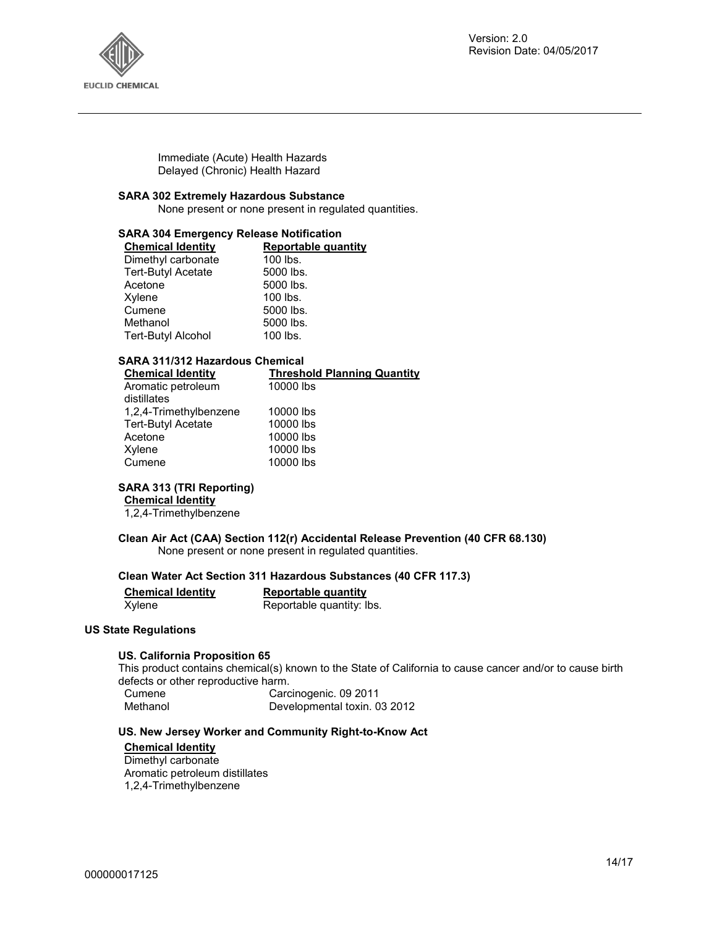

Immediate (Acute) Health Hazards Delayed (Chronic) Health Hazard

#### **SARA 302 Extremely Hazardous Substance**

None present or none present in regulated quantities.

#### **SARA 304 Emergency Release Notification**

| <b>Chemical Identity</b>  | <b>Reportable quantity</b> |
|---------------------------|----------------------------|
| Dimethyl carbonate        | 100 lbs.                   |
| <b>Tert-Butyl Acetate</b> | 5000 lbs.                  |
| Acetone                   | 5000 lbs.                  |
| Xylene                    | 100 lbs.                   |
| Cumene                    | 5000 lbs.                  |
| Methanol                  | 5000 lbs.                  |
| <b>Tert-Butyl Alcohol</b> | 100 lbs.                   |

#### **SARA 311/312 Hazardous Chemical**

| <b>Chemical Identity</b>  | <b>Threshold Planning Quantity</b> |
|---------------------------|------------------------------------|
| Aromatic petroleum        | 10000 lbs                          |
| distillates               |                                    |
| 1,2,4-Trimethylbenzene    | 10000 lbs                          |
| <b>Tert-Butyl Acetate</b> | 10000 lbs                          |
| Acetone                   | 10000 lbs                          |
| Xylene                    | 10000 lbs                          |
| Cumene                    | 10000 lbs                          |
|                           |                                    |

#### **SARA 313 (TRI Reporting)**

**Chemical Identity**

1,2,4-Trimethylbenzene

#### **Clean Air Act (CAA) Section 112(r) Accidental Release Prevention (40 CFR 68.130)**  None present or none present in regulated quantities.

#### **Clean Water Act Section 311 Hazardous Substances (40 CFR 117.3)**

| <b>Chemical Identity</b> | Reportable quantity       |
|--------------------------|---------------------------|
| Xylene                   | Reportable quantity: Ibs. |

#### **US State Regulations**

#### **US. California Proposition 65**

This product contains chemical(s) known to the State of California to cause cancer and/or to cause birth defects or other reproductive harm.

| Cumene   | Carcinogenic. 09 2011        |
|----------|------------------------------|
| Methanol | Developmental toxin. 03 2012 |

#### **US. New Jersey Worker and Community Right-to-Know Act**

### **Chemical Identity**

Dimethyl carbonate Aromatic petroleum distillates 1,2,4-Trimethylbenzene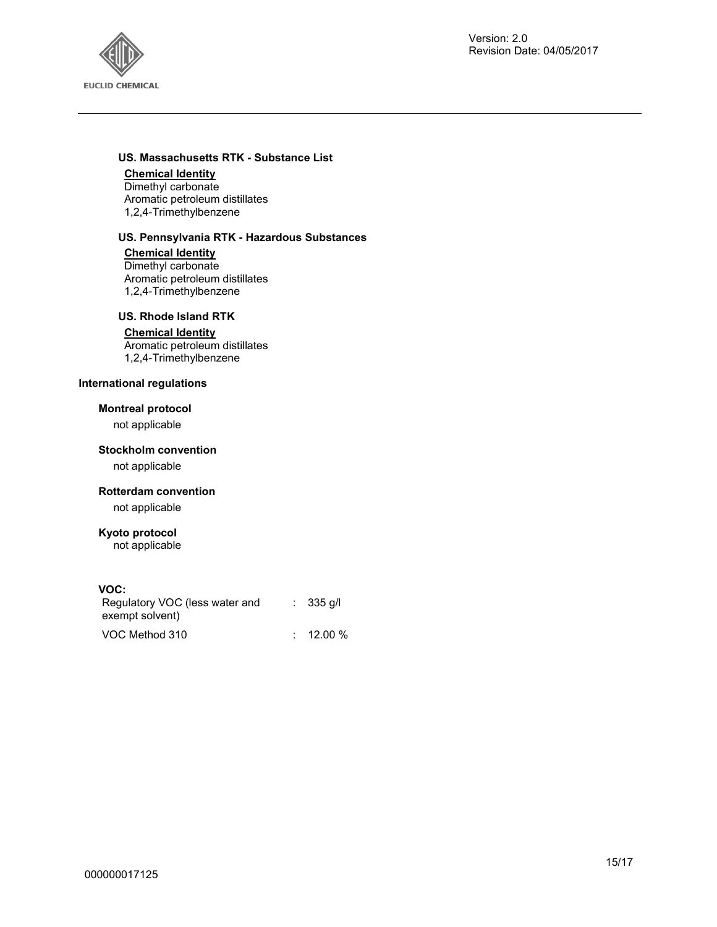

#### **US. Massachusetts RTK - Substance List**

#### **Chemical Identity**

Dimethyl carbonate Aromatic petroleum distillates 1,2,4-Trimethylbenzene

#### **US. Pennsylvania RTK - Hazardous Substances**

**Chemical Identity** Dimethyl carbonate Aromatic petroleum distillates 1,2,4-Trimethylbenzene

#### **US. Rhode Island RTK**

#### **Chemical Identity**

Aromatic petroleum distillates 1,2,4-Trimethylbenzene

#### **International regulations**

#### **Montreal protocol**

not applicable

#### **Stockholm convention**

not applicable

#### **Rotterdam convention**

not applicable

#### **Kyoto protocol**

not applicable

#### **VOC:**

| Regulatory VOC (less water and<br>exempt solvent) | $\therefore$ 335 g/l |
|---------------------------------------------------|----------------------|
| VOC Method 310                                    | $: 12.00 \%$         |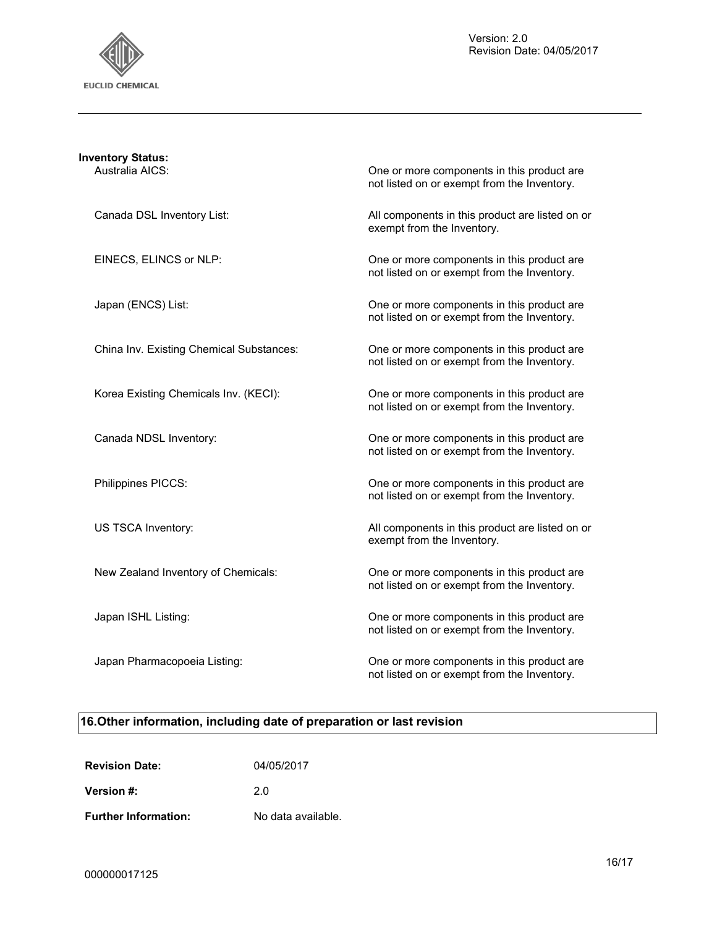

| <b>Inventory Status:</b><br>Australia AICS: | One or more components in this product are                                                |
|---------------------------------------------|-------------------------------------------------------------------------------------------|
|                                             | not listed on or exempt from the Inventory.                                               |
| Canada DSL Inventory List:                  | All components in this product are listed on or<br>exempt from the Inventory.             |
| EINECS, ELINCS or NLP:                      | One or more components in this product are<br>not listed on or exempt from the Inventory. |
| Japan (ENCS) List:                          | One or more components in this product are<br>not listed on or exempt from the Inventory. |
| China Inv. Existing Chemical Substances:    | One or more components in this product are<br>not listed on or exempt from the Inventory. |
| Korea Existing Chemicals Inv. (KECI):       | One or more components in this product are<br>not listed on or exempt from the Inventory. |
| Canada NDSL Inventory:                      | One or more components in this product are<br>not listed on or exempt from the Inventory. |
| Philippines PICCS:                          | One or more components in this product are<br>not listed on or exempt from the Inventory. |
| US TSCA Inventory:                          | All components in this product are listed on or<br>exempt from the Inventory.             |
| New Zealand Inventory of Chemicals:         | One or more components in this product are<br>not listed on or exempt from the Inventory. |
| Japan ISHL Listing:                         | One or more components in this product are<br>not listed on or exempt from the Inventory. |
| Japan Pharmacopoeia Listing:                | One or more components in this product are<br>not listed on or exempt from the Inventory. |

# **16.Other information, including date of preparation or last revision**

| <b>Revision Date:</b>       | 04/05/2017         |
|-----------------------------|--------------------|
| Version #:                  | 20                 |
| <b>Further Information:</b> | No data available. |